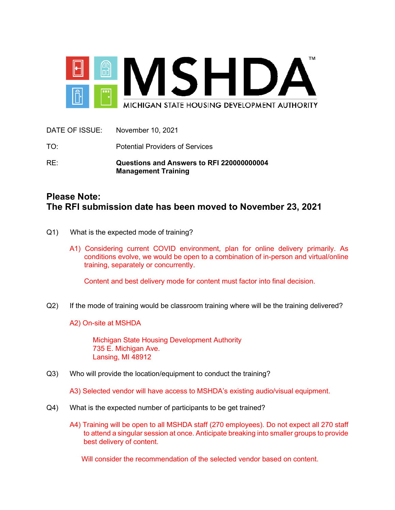

| RE:             | Questions and Answers to RFI 220000000004<br><b>Management Training</b> |
|-----------------|-------------------------------------------------------------------------|
| TO <sup>.</sup> | <b>Potential Providers of Services</b>                                  |
| DATE OF ISSUE:  | November 10, 2021                                                       |

# **Please Note: The RFI submission date has been moved to November 23, 2021**

- Q1) What is the expected mode of training?
	- A1) Considering current COVID environment, plan for online delivery primarily. As conditions evolve, we would be open to a combination of in-person and virtual/online training, separately or concurrently.

Content and best delivery mode for content must factor into final decision.

Q2) If the mode of training would be classroom training where will be the training delivered?

A2) On-site at MSHDA

Michigan State Housing Development Authority 735 E. Michigan Ave. Lansing, MI 48912

Q3) Who will provide the location/equipment to conduct the training?

A3) Selected vendor will have access to MSHDA's existing audio/visual equipment.

- Q4) What is the expected number of participants to be get trained?
	- A4) Training will be open to all MSHDA staff (270 employees). Do not expect all 270 staff to attend a singular session at once. Anticipate breaking into smaller groups to provide best delivery of content.

Will consider the recommendation of the selected vendor based on content.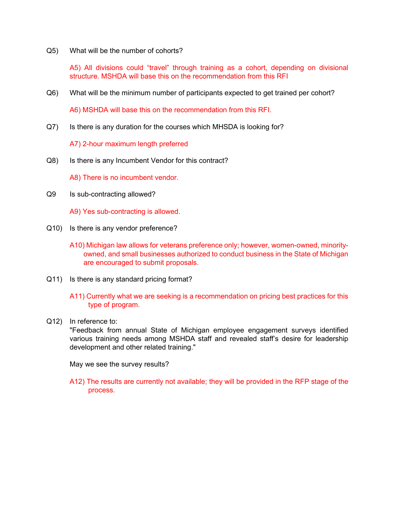Q5) What will be the number of cohorts?

A5) All divisions could "travel" through training as a cohort, depending on divisional structure. MSHDA will base this on the recommendation from this RFI

Q6) What will be the minimum number of participants expected to get trained per cohort?

A6) MSHDA will base this on the recommendation from this RFI.

Q7) Is there is any duration for the courses which MHSDA is looking for?

A7) 2-hour maximum length preferred

- Q8) Is there is any Incumbent Vendor for this contract?
	- A8) There is no incumbent vendor.
- Q9 Is sub-contracting allowed?
	- A9) Yes sub-contracting is allowed.
- Q10) Is there is any vendor preference?
	- A10) Michigan law allows for veterans preference only; however, women-owned, minorityowned, and small businesses authorized to conduct business in the State of Michigan are encouraged to submit proposals.
- Q11) Is there is any standard pricing format?
	- A11) Currently what we are seeking is a recommendation on pricing best practices for this type of program.
- Q12) In reference to:

"Feedback from annual State of Michigan employee engagement surveys identified various training needs among MSHDA staff and revealed staff's desire for leadership development and other related training."

May we see the survey results?

A12) The results are currently not available; they will be provided in the RFP stage of the process.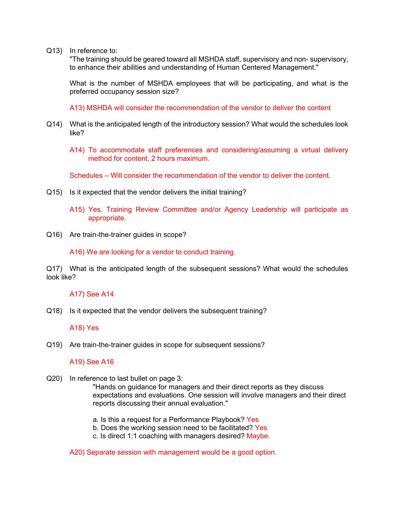Q13) In reference to:

"The training should be geared toward all MSHDA staff, supervisory and non- supervisory, to enhance their abilities and understanding of Human Centered Management."

What is the number of MSHDA employees that will be participating, and what is the preferred occupancy session size?

A13) MSHDA will consider the recommendation of the vendor to deliver the content

- Q14) What is the anticipated length of the introductory session? What would the schedules look like?
	- A14) To accommodate staff preferences and considering/assuming a virtual delivery method for content, 2 hours maximum.

Schedules – Will consider the recommendation of the vendor to deliver the content.

- Q15) Is it expected that the vendor delivers the initial training?
	- A15) Yes. Training Review Committee and/or Agency Leadership will participate as appropriate.
- Q16) Are train-the-trainer guides in scope?

A16) We are looking for a vendor to conduct training.

Q17) What is the anticipated length of the subsequent sessions? What would the schedules look like?

### A17) See A14

Q18) Is it expected that the vendor delivers the subsequent training?

### A18) Yes

Q19) Are train-the-trainer guides in scope for subsequent sessions?

## A19) See A16

- Q20) In reference to last bullet on page 3: "Hands on guidance for managers and their direct reports as they discuss expectations and evaluations. One session will involve managers and their direct reports discussing their annual evaluation."
	- a. Is this a request for a Performance Playbook? Yes
	- b. Does the working session need to be facilitated? Yes
	- c. Is direct 1:1 coaching with managers desired? Maybe.

#### A20) Separate session with management would be a good option.